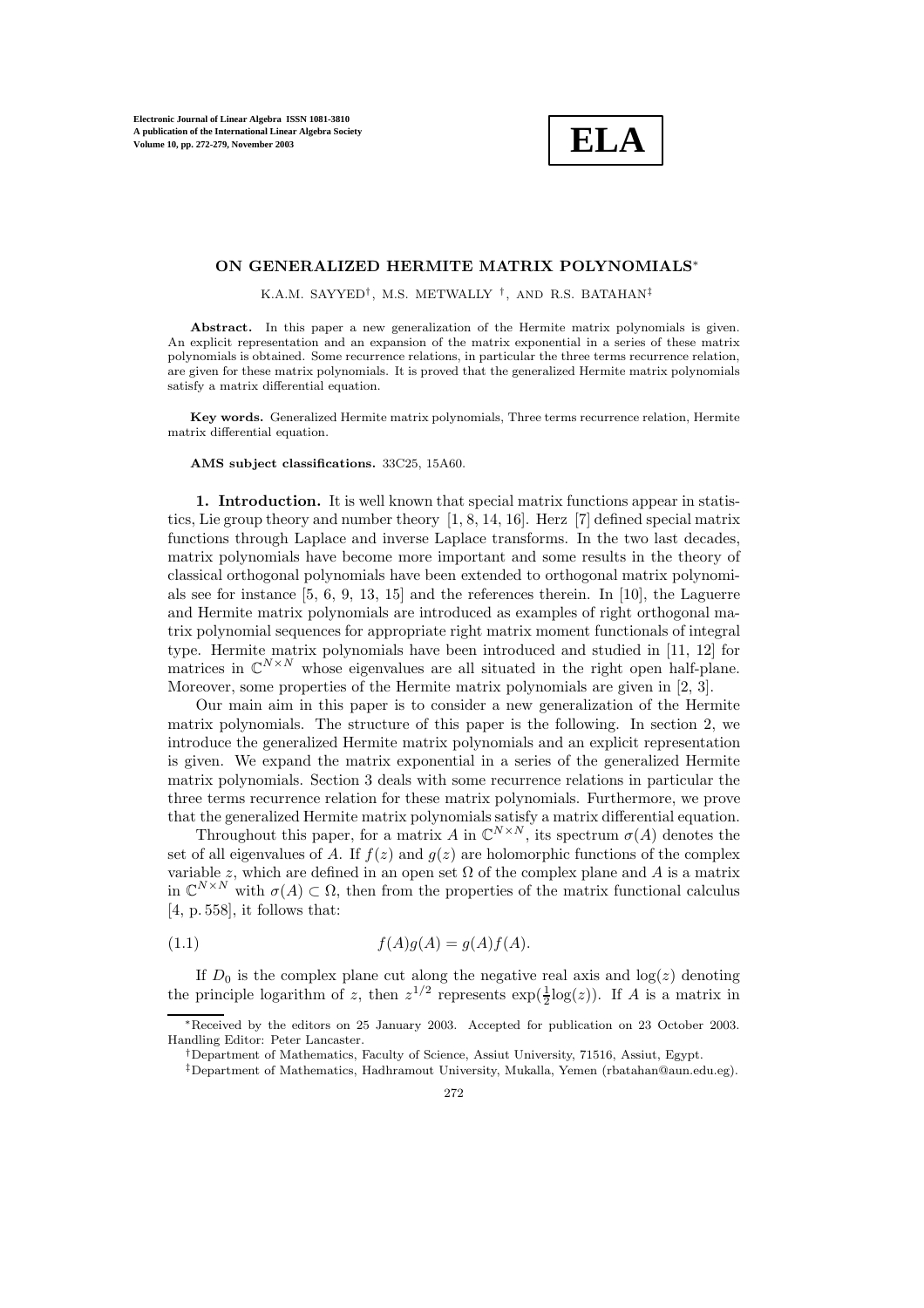**ELA**

## **ON GENERALIZED HERMITE MATRIX POLYNOMIALS**∗

K.A.M. SAYYED<sup>†</sup>, M.S. METWALLY <sup>†</sup>, AND R.S. BATAHAN<sup>‡</sup>

Abstract. In this paper a new generalization of the Hermite matrix polynomials is given. An explicit representation and an expansion of the matrix exponential in a series of these matrix polynomials is obtained. Some recurrence relations, in particular the three terms recurrence relation, are given for these matrix polynomials. It is proved that the generalized Hermite matrix polynomials satisfy a matrix differential equation.

**Key words.** Generalized Hermite matrix polynomials, Three terms recurrence relation, Hermite matrix differential equation.

## **AMS subject classifications.** 33C25, 15A60.

**1. Introduction.** It is well known that special matrix functions appear in statistics, Lie group theory and number theory [1, 8, 14, 16]. Herz [7] defined special matrix functions through Laplace and inverse Laplace transforms. In the two last decades, matrix polynomials have become more important and some results in the theory of classical orthogonal polynomials have been extended to orthogonal matrix polynomials see for instance  $[5, 6, 9, 13, 15]$  and the references therein. In [10], the Laguerre and Hermite matrix polynomials are introduced as examples of right orthogonal matrix polynomial sequences for appropriate right matrix moment functionals of integral type. Hermite matrix polynomials have been introduced and studied in  $[11, 12]$  for matrices in  $\mathbb{C}^{N\times N}$  whose eigenvalues are all situated in the right open half-plane. Moreover, some properties of the Hermite matrix polynomials are given in [2, 3].

Our main aim in this paper is to consider a new generalization of the Hermite matrix polynomials. The structure of this paper is the following. In section 2, we introduce the generalized Hermite matrix polynomials and an explicit representation is given. We expand the matrix exponential in a series of the generalized Hermite matrix polynomials. Section 3 deals with some recurrence relations in particular the three terms recurrence relation for these matrix polynomials. Furthermore, we prove that the generalized Hermite matrix polynomials satisfy a matrix differential equation.

Throughout this paper, for a matrix A in  $\mathbb{C}^{N \times N}$ , its spectrum  $\sigma(A)$  denotes the set of all eigenvalues of A. If  $f(z)$  and  $g(z)$  are holomorphic functions of the complex variable z, which are defined in an open set  $\Omega$  of the complex plane and A is a matrix in  $\mathbb{C}^{N\times N}$  with  $\sigma(A) \subset \Omega$ , then from the properties of the matrix functional calculus  $[4, p. 558]$ , it follows that:

$$
(1.1) \t\t f(A)g(A) = g(A)f(A).
$$

If  $D_0$  is the complex plane cut along the negative real axis and  $log(z)$  denoting the principle logarithm of z, then  $z^{1/2}$  represents  $\exp(\frac{1}{2}\log(z))$ . If A is a matrix in

<sup>∗</sup>Received by the editors on 25 January 2003. Accepted for publication on 23 October 2003. Handling Editor: Peter Lancaster.

<sup>&</sup>lt;sup>†</sup>Department of Mathematics, Faculty of Science, Assiut University, 71516, Assiut, Egypt.

 $^\ddag$ Department of Mathematics, Hadhramout University, Mukalla, Yemen (rbatahan@aun.edu.eg).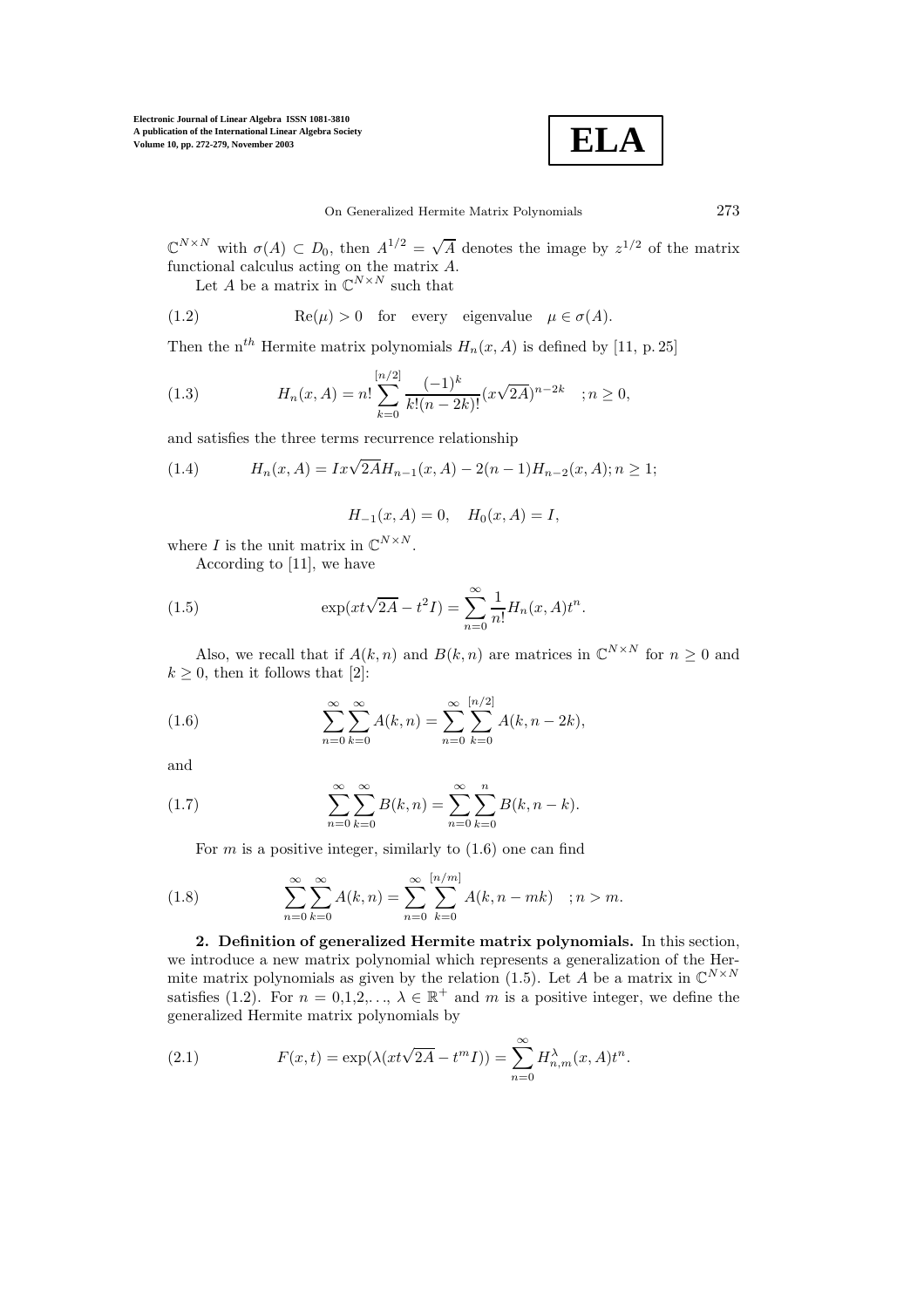

 $\mathbb{C}^{N\times N}$  with  $\sigma(A) \subset D_0$ , then  $A^{1/2} = \sqrt{A}$  denotes the image by  $z^{1/2}$  of the matrix functional calculus acting on the matrix A.

Let A be a matrix in  $\mathbb{C}^{N\times N}$  such that

(1.2) 
$$
\operatorname{Re}(\mu) > 0 \quad \text{for every eigenvalue} \quad \mu \in \sigma(A).
$$

Then the n<sup>th</sup> Hermite matrix polynomials  $H_n(x, A)$  is defined by [11, p. 25]

(1.3) 
$$
H_n(x, A) = n! \sum_{k=0}^{[n/2]} \frac{(-1)^k}{k!(n-2k)!} (x\sqrt{2A})^{n-2k} \quad ; n \ge 0,
$$

and satisfies the three terms recurrence relationship

(1.4) 
$$
H_n(x, A) = Ix\sqrt{2A}H_{n-1}(x, A) - 2(n-1)H_{n-2}(x, A); n \ge 1;
$$

$$
H_{-1}(x, A) = 0, \quad H_0(x, A) = I,
$$

where I is the unit matrix in  $\mathbb{C}^{N\times N}$ .

According to [11], we have

(1.5) 
$$
\exp(xt\sqrt{2A} - t^2I) = \sum_{n=0}^{\infty} \frac{1}{n!} H_n(x, A) t^n.
$$

Also, we recall that if  $A(k, n)$  and  $B(k, n)$  are matrices in  $\mathbb{C}^{N \times N}$  for  $n \geq 0$  and  $k \geq 0$ , then it follows that [2]:

(1.6) 
$$
\sum_{n=0}^{\infty} \sum_{k=0}^{\infty} A(k,n) = \sum_{n=0}^{\infty} \sum_{k=0}^{[n/2]} A(k,n-2k),
$$

and

(1.7) 
$$
\sum_{n=0}^{\infty} \sum_{k=0}^{\infty} B(k, n) = \sum_{n=0}^{\infty} \sum_{k=0}^{n} B(k, n-k).
$$

For  $m$  is a positive integer, similarly to  $(1.6)$  one can find

(1.8) 
$$
\sum_{n=0}^{\infty} \sum_{k=0}^{\infty} A(k,n) = \sum_{n=0}^{\infty} \sum_{k=0}^{\lfloor n/m \rfloor} A(k,n-mk) \quad ; n > m.
$$

**2. Definition of generalized Hermite matrix polynomials.** In this section, we introduce a new matrix polynomial which represents a generalization of the Hermite matrix polynomials as given by the relation (1.5). Let A be a matrix in  $\mathbb{C}^{N\times N}$ satisfies (1.2). For  $n = 0,1,2,..., \lambda \in \mathbb{R}^+$  and m is a positive integer, we define the generalized Hermite matrix polynomials by

(2.1) 
$$
F(x,t) = \exp(\lambda(xt\sqrt{2A} - t^m I)) = \sum_{n=0}^{\infty} H_{n,m}^{\lambda}(x,A)t^n.
$$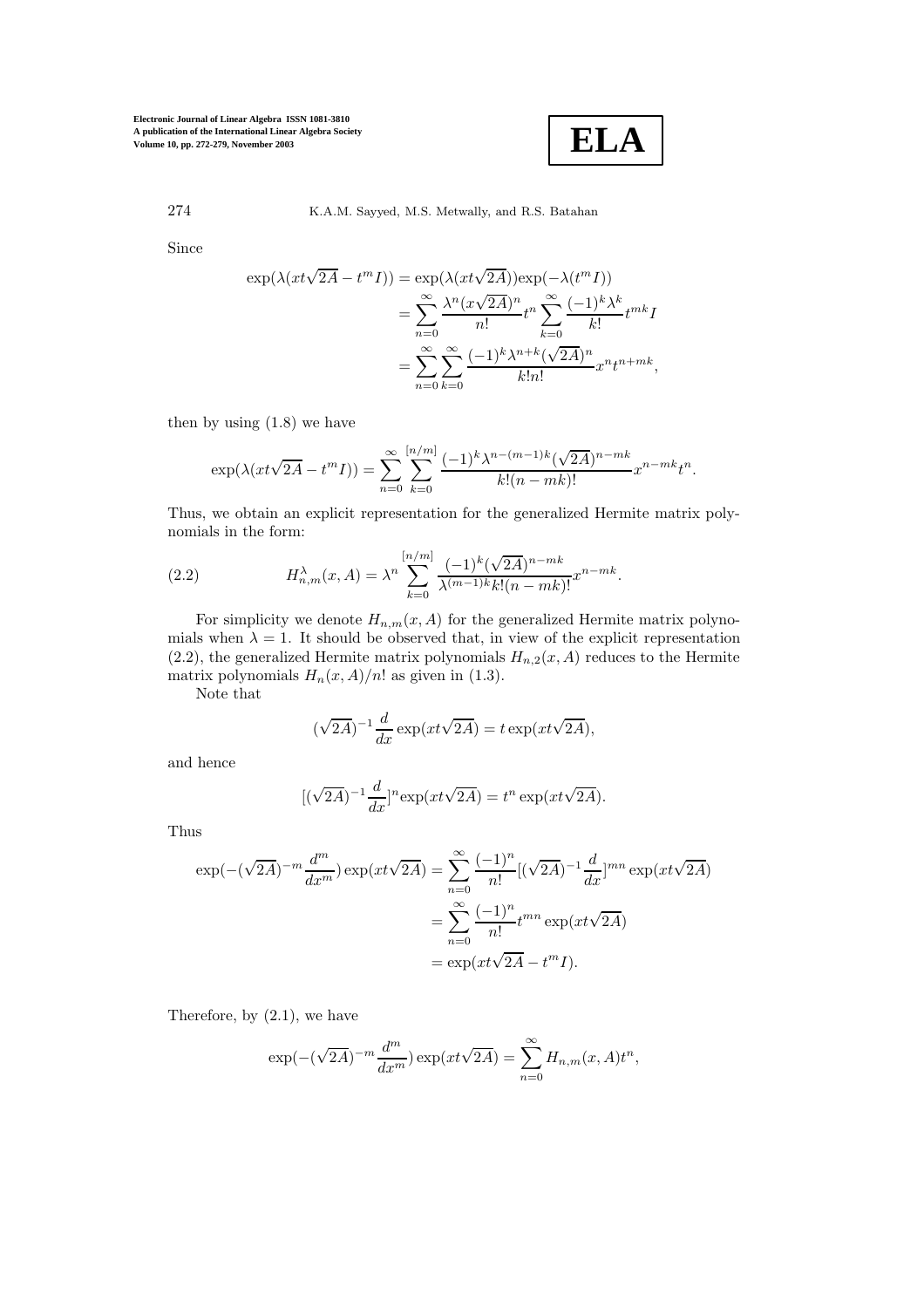

## 274 K.A.M. Sayyed, M.S. Metwally, and R.S. Batahan

Since

$$
\exp(\lambda(xt\sqrt{2A} - t^m I)) = \exp(\lambda(xt\sqrt{2A}))\exp(-\lambda(t^m I))
$$
  
= 
$$
\sum_{n=0}^{\infty} \frac{\lambda^n (x\sqrt{2A})^n}{n!} t^n \sum_{k=0}^{\infty} \frac{(-1)^k \lambda^k}{k!} t^{mk} I
$$
  
= 
$$
\sum_{n=0}^{\infty} \sum_{k=0}^{\infty} \frac{(-1)^k \lambda^{n+k} (\sqrt{2A})^n}{k!n!} x^n t^{n+mk},
$$

then by using (1.8) we have

$$
\exp(\lambda(xt\sqrt{2A} - t^m I)) = \sum_{n=0}^{\infty} \sum_{k=0}^{\lfloor n/m \rfloor} \frac{(-1)^k \lambda^{n-(m-1)k} (\sqrt{2A})^{n-mk}}{k!(n-mk)!} x^{n-mk} t^n.
$$

Thus, we obtain an explicit representation for the generalized Hermite matrix polynomials in the form:

(2.2) 
$$
H_{n,m}^{\lambda}(x,A) = \lambda^n \sum_{k=0}^{[n/m]} \frac{(-1)^k (\sqrt{2A})^{n-mk}}{\lambda^{(m-1)k} k! (n-mk)!} x^{n-mk}.
$$

For simplicity we denote  $H_{n,m}(x, A)$  for the generalized Hermite matrix polynomials when  $\lambda = 1$ . It should be observed that, in view of the explicit representation (2.2), the generalized Hermite matrix polynomials  $H_{n,2}(x, A)$  reduces to the Hermite matrix polynomials  $H_n(x, A)/n!$  as given in (1.3).

Note that

$$
(\sqrt{2A})^{-1} \frac{d}{dx} \exp(xt\sqrt{2A}) = t \exp(xt\sqrt{2A}),
$$

and hence

$$
[(\sqrt{2A})^{-1} \frac{d}{dx}]^n \exp(xt\sqrt{2A}) = t^n \exp(xt\sqrt{2A}).
$$

Thus

$$
\exp(-(\sqrt{2A})^{-m}\frac{d^m}{dx^m})\exp(xt\sqrt{2A}) = \sum_{n=0}^{\infty} \frac{(-1)^n}{n!} [(\sqrt{2A})^{-1}\frac{d}{dx}]^{mn} \exp(xt\sqrt{2A})
$$

$$
= \sum_{n=0}^{\infty} \frac{(-1)^n}{n!} t^{mn} \exp(xt\sqrt{2A})
$$

$$
= \exp(xt\sqrt{2A} - t^m I).
$$

Therefore, by (2.1), we have

$$
\exp(-(\sqrt{2A})^{-m}\frac{d^m}{dx^m})\exp(xt\sqrt{2A}) = \sum_{n=0}^{\infty} H_{n,m}(x,A)t^n,
$$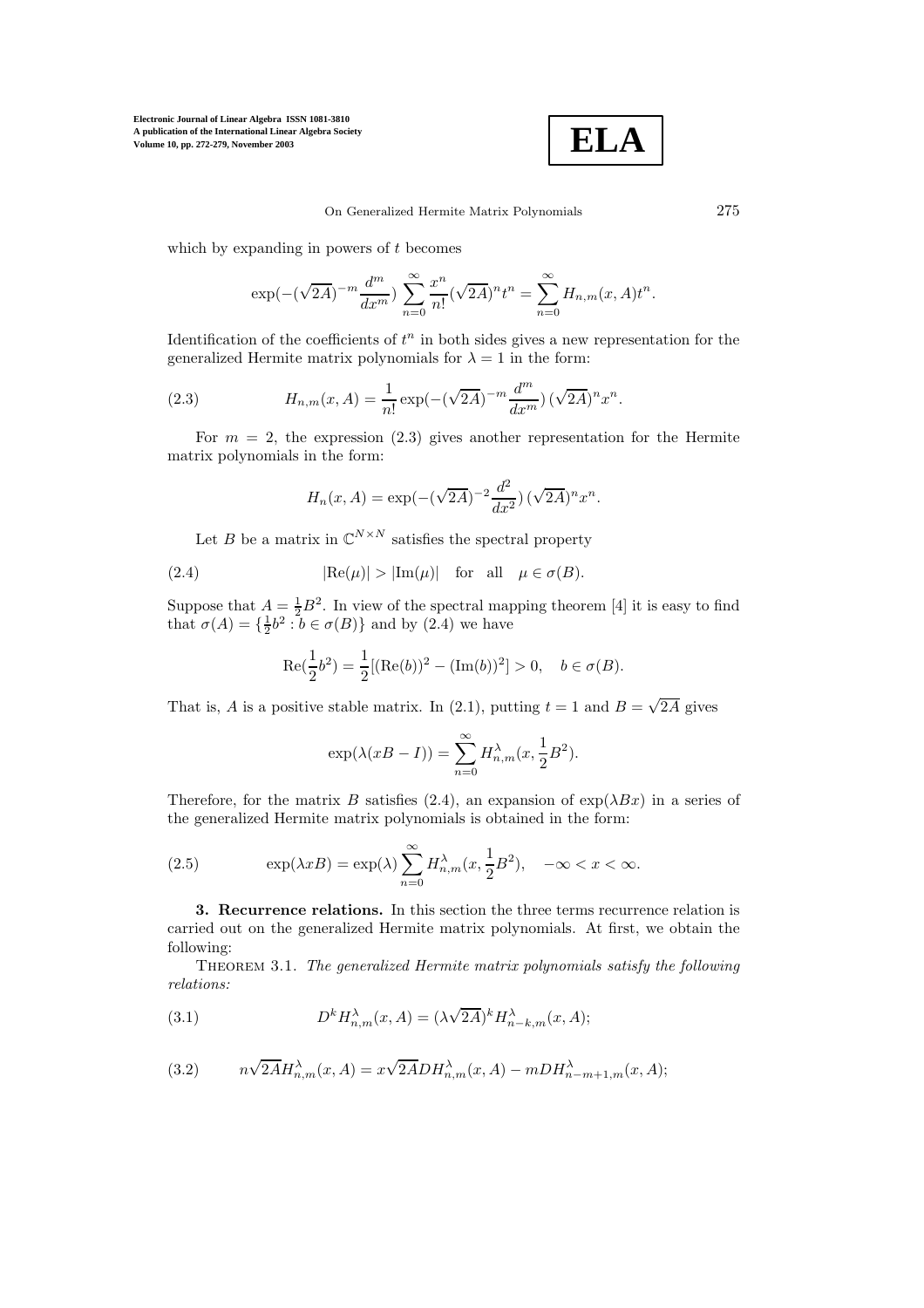

which by expanding in powers of  $t$  becomes

$$
\exp(-(\sqrt{2A})^{-m}\frac{d^m}{dx^m})\sum_{n=0}^{\infty}\frac{x^n}{n!}(\sqrt{2A})^nt^n = \sum_{n=0}^{\infty}H_{n,m}(x,A)t^n.
$$

Identification of the coefficients of  $t^n$  in both sides gives a new representation for the generalized Hermite matrix polynomials for  $\lambda = 1$  in the form:

(2.3) 
$$
H_{n,m}(x, A) = \frac{1}{n!} \exp(-(\sqrt{2A})^{-m} \frac{d^m}{dx^m}) (\sqrt{2A})^n x^n.
$$

For  $m = 2$ , the expression (2.3) gives another representation for the Hermite matrix polynomials in the form:

$$
H_n(x, A) = \exp(-(\sqrt{2A})^{-2} \frac{d^2}{dx^2}) (\sqrt{2A})^n x^n.
$$

Let B be a matrix in  $\mathbb{C}^{N \times N}$  satisfies the spectral property

(2.4) 
$$
|\text{Re}(\mu)| > |\text{Im}(\mu)| \text{ for all } \mu \in \sigma(B).
$$

Suppose that  $A = \frac{1}{2}B^2$ . In view of the spectral mapping theorem [4] it is easy to find that  $\sigma(A) = \{\frac{1}{2}b^2 : b \in \sigma(B)\}\$  and by (2.4) we have

$$
\operatorname{Re}(\frac{1}{2}b^2) = \frac{1}{2} [(\operatorname{Re}(b))^2 - (\operatorname{Im}(b))^2] > 0, \quad b \in \sigma(B).
$$

That is, A is a positive stable matrix. In (2.1), putting  $t = 1$  and  $B = \sqrt{2A}$  gives

$$
\exp(\lambda(xB - I)) = \sum_{n=0}^{\infty} H_{n,m}^{\lambda}(x, \frac{1}{2}B^2).
$$

Therefore, for the matrix B satisfies (2.4), an expansion of  $\exp(\lambda Bx)$  in a series of the generalized Hermite matrix polynomials is obtained in the form:

(2.5) 
$$
\exp(\lambda x B) = \exp(\lambda) \sum_{n=0}^{\infty} H_{n,m}^{\lambda}(x, \frac{1}{2}B^2), \quad -\infty < x < \infty.
$$

**3. Recurrence relations.** In this section the three terms recurrence relation is carried out on the generalized Hermite matrix polynomials. At first, we obtain the following:

Theorem 3.1. *The generalized Hermite matrix polynomials satisfy the following relations:*

(3.1) 
$$
D^k H_{n,m}^{\lambda}(x, A) = (\lambda \sqrt{2A})^k H_{n-k,m}^{\lambda}(x, A);
$$

(3.2) 
$$
n\sqrt{2A}H_{n,m}^{\lambda}(x,A) = x\sqrt{2A}DH_{n,m}^{\lambda}(x,A) - mDH_{n-m+1,m}^{\lambda}(x,A);
$$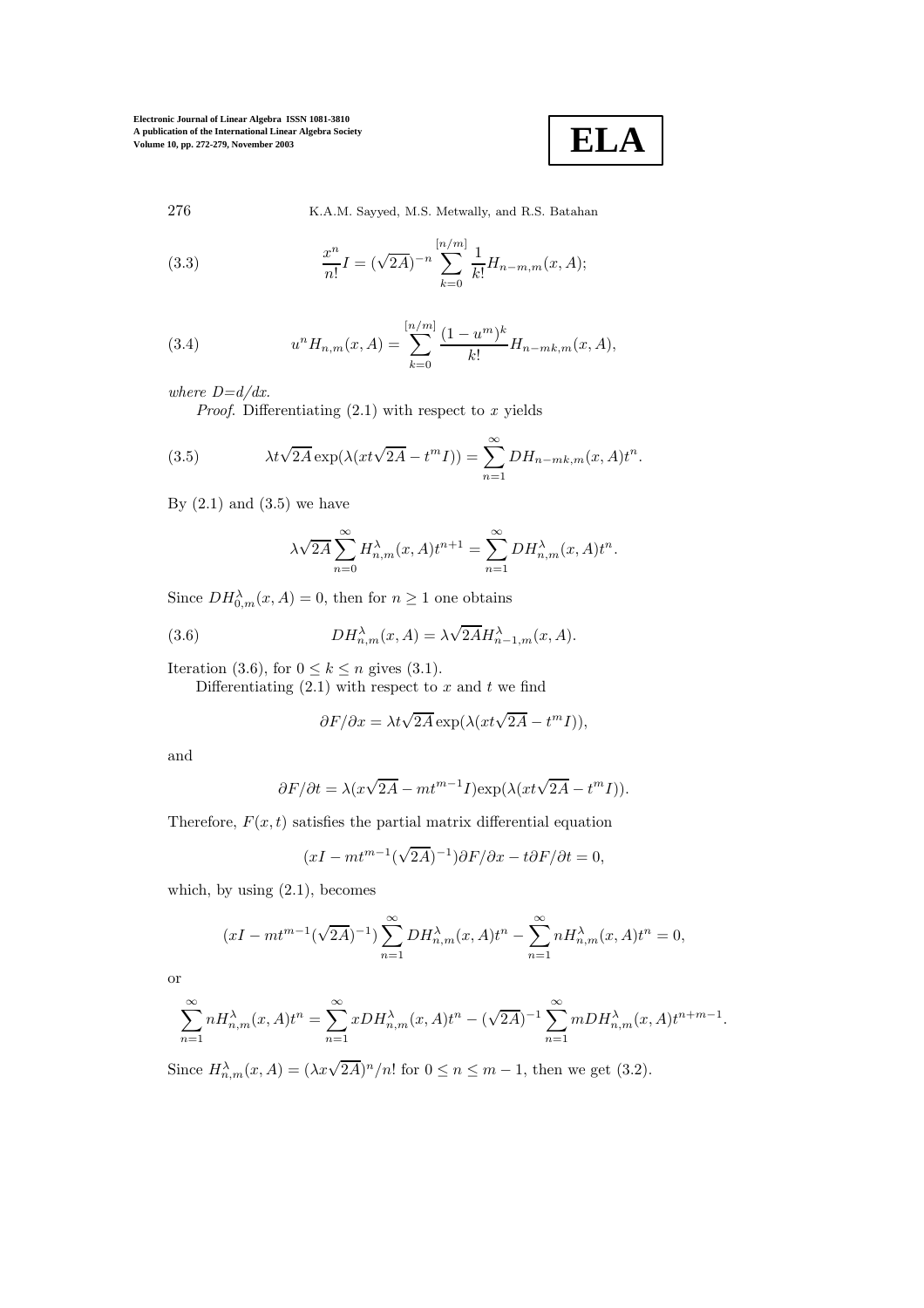

276 K.A.M. Sayyed, M.S. Metwally, and R.S. Batahan

(3.3) 
$$
\frac{x^n}{n!} I = (\sqrt{2A})^{-n} \sum_{k=0}^{[n/m]} \frac{1}{k!} H_{n-m,m}(x, A);
$$

(3.4) 
$$
u^{n}H_{n,m}(x,A) = \sum_{k=0}^{\lfloor n/m \rfloor} \frac{(1-u^{m})^{k}}{k!} H_{n-mk,m}(x,A),
$$

*where D=d/dx.*

*Proof*. Differentiating (2.1) with respect to *x* yields

(3.5) 
$$
\lambda t \sqrt{2A} \exp(\lambda (xt \sqrt{2A} - t^m I)) = \sum_{n=1}^{\infty} DH_{n-mk,m}(x, A) t^n.
$$

By  $(2.1)$  and  $(3.5)$  we have

$$
\lambda \sqrt{2A} \sum_{n=0}^{\infty} H_{n,m}^{\lambda}(x, A) t^{n+1} = \sum_{n=1}^{\infty} DH_{n,m}^{\lambda}(x, A) t^n.
$$

Since  $DH_{0,m}^{\lambda}(x, A) = 0$ , then for  $n \geq 1$  one obtains

(3.6) 
$$
DH_{n,m}^{\lambda}(x, A) = \lambda \sqrt{2A} H_{n-1,m}^{\lambda}(x, A).
$$

Iteration (3.6), for  $0 \leq k \leq n$  gives (3.1).

Differentiating  $(2.1)$  with respect to x and t we find

$$
\partial F/\partial x = \lambda t \sqrt{2A} \exp(\lambda (xt \sqrt{2A} - t^m I)),
$$

and

$$
\partial F/\partial t = \lambda(x\sqrt{2A} - mt^{m-1}I)\exp(\lambda(xt\sqrt{2A} - t^mI)).
$$

Therefore,  $F(x, t)$  satisfies the partial matrix differential equation

$$
(xI - mt^{m-1}(\sqrt{2A})^{-1})\partial F/\partial x - t\partial F/\partial t = 0,
$$

which, by using  $(2.1)$ , becomes

$$
(xI - mt^{m-1}(\sqrt{2A})^{-1}) \sum_{n=1}^{\infty} DH_{n,m}^{\lambda}(x, A)t^{n} - \sum_{n=1}^{\infty} nH_{n,m}^{\lambda}(x, A)t^{n} = 0,
$$

or

$$
\sum_{n=1}^{\infty} n H_{n,m}^{\lambda}(x, A) t^n = \sum_{n=1}^{\infty} x D H_{n,m}^{\lambda}(x, A) t^n - (\sqrt{2A})^{-1} \sum_{n=1}^{\infty} m D H_{n,m}^{\lambda}(x, A) t^{n+m-1}.
$$

Since  $H_{n,m}^{\lambda}(x, A) = (\lambda x \sqrt{2A})^n/n!$  for  $0 \le n \le m-1$ , then we get (3.2).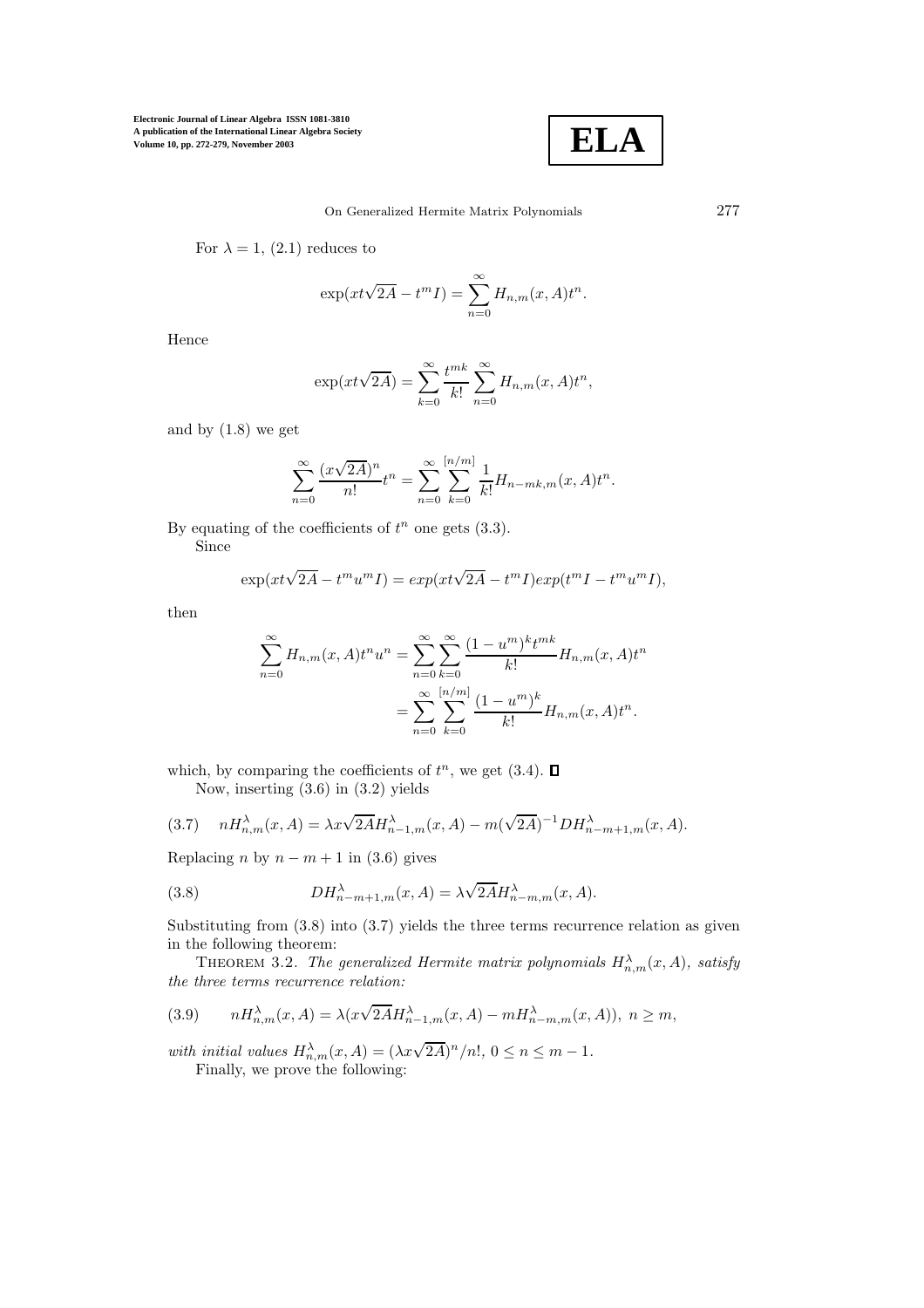

For  $\lambda = 1$ , (2.1) reduces to

$$
\exp(xt\sqrt{2A} - t^m I) = \sum_{n=0}^{\infty} H_{n,m}(x, A)t^n.
$$

Hence

$$
\exp(xt\sqrt{2A}) = \sum_{k=0}^{\infty} \frac{t^{mk}}{k!} \sum_{n=0}^{\infty} H_{n,m}(x,A)t^n,
$$

and by (1.8) we get

$$
\sum_{n=0}^{\infty} \frac{(x\sqrt{2A})^n}{n!} t^n = \sum_{n=0}^{\infty} \sum_{k=0}^{\lfloor n/m \rfloor} \frac{1}{k!} H_{n-mk,m}(x, A) t^n.
$$

By equating of the coefficients of  $t^n$  one gets  $(3.3)$ . Since

$$
\exp(xt\sqrt{2A} - t^m u^m I) = \exp(xt\sqrt{2A} - t^m I)\exp(t^m I - t^m u^m I),
$$

then

$$
\sum_{n=0}^{\infty} H_{n,m}(x,A)t^n u^n = \sum_{n=0}^{\infty} \sum_{k=0}^{\infty} \frac{(1-u^m)^k t^{mk}}{k!} H_{n,m}(x,A)t^n
$$

$$
= \sum_{n=0}^{\infty} \sum_{k=0}^{[n/m]} \frac{(1-u^m)^k}{k!} H_{n,m}(x,A)t^n.
$$

which, by comparing the coefficients of  $t^n$ , we get  $(3.4)$ . Now, inserting (3.6) in (3.2) yields

(3.7) 
$$
nH_{n,m}^{\lambda}(x,A) = \lambda x \sqrt{2A} H_{n-1,m}^{\lambda}(x,A) - m(\sqrt{2A})^{-1} D H_{n-m+1,m}^{\lambda}(x,A).
$$

Replacing n by  $n - m + 1$  in (3.6) gives

(3.8) 
$$
DH^{\lambda}_{n-m+1,m}(x, A) = \lambda \sqrt{2A} H^{\lambda}_{n-m,m}(x, A).
$$

Substituting from  $(3.8)$  into  $(3.7)$  yields the three terms recurrence relation as given in the following theorem:

THEOREM 3.2. The generalized Hermite matrix polynomials  $H_{n,m}^{\lambda}(x, A)$ , satisfy *the three terms recurrence relation:*

(3.9) 
$$
nH_{n,m}^{\lambda}(x,A) = \lambda(x\sqrt{2A}H_{n-1,m}^{\lambda}(x,A) - mH_{n-m,m}^{\lambda}(x,A)), \ n \geq m,
$$

with initial values  $H_{n,m}^{\lambda}(x, A) = (\lambda x \sqrt{2A})^n/n!$ ,  $0 \le n \le m - 1$ *.* Finally, we prove the following: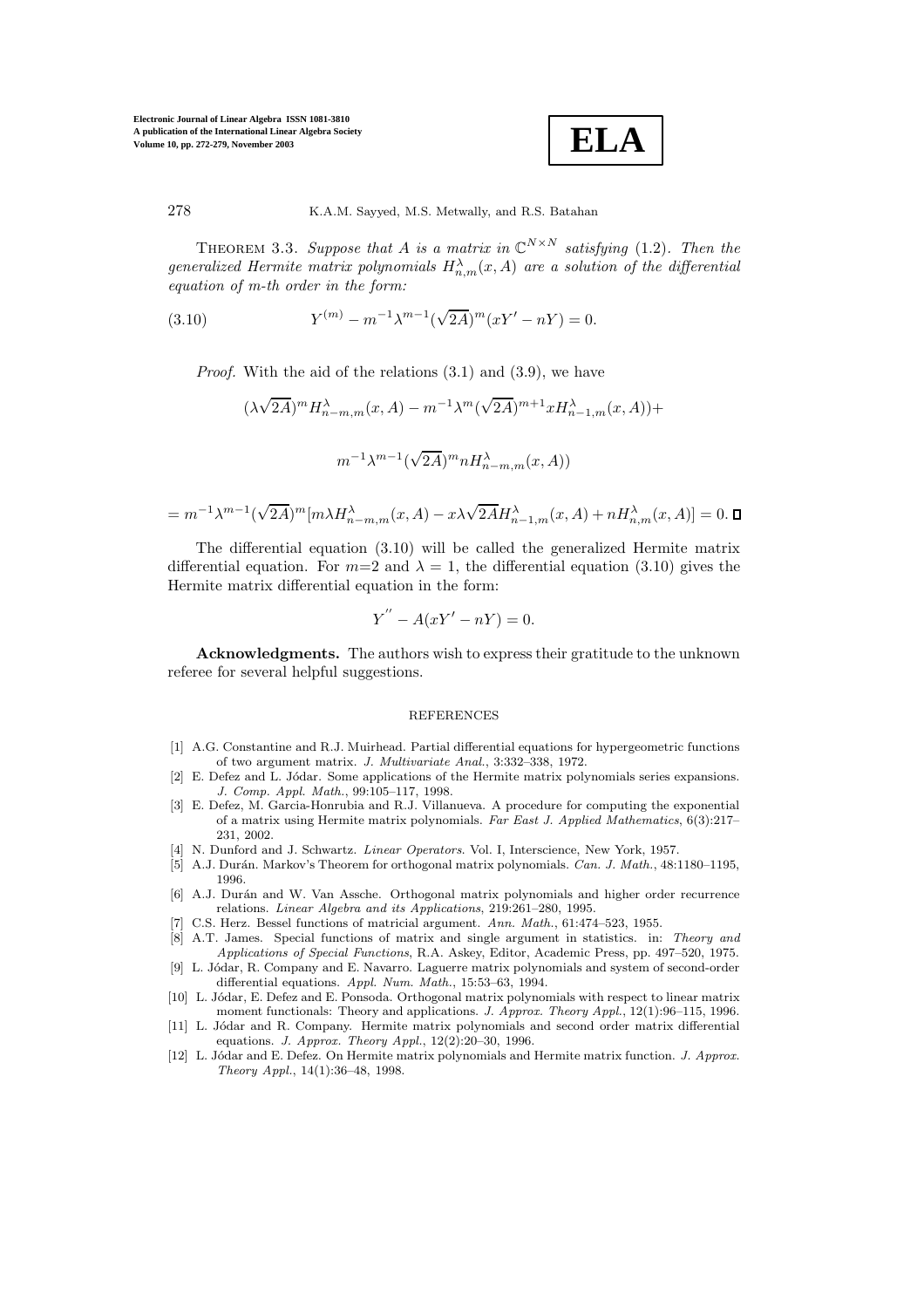**ELA**

278 K.A.M. Sayyed, M.S. Metwally, and R.S. Batahan

THEOREM 3.3. Suppose that A is a matrix in  $\mathbb{C}^{N \times N}$  satisfying (1.2). Then the  $generalized$  *Hermite matrix polynomials*  $H_{n,m}^{\lambda}(x, A)$  *are a solution of the differential equation of m-th order in the form:*

(3.10) 
$$
Y^{(m)} - m^{-1} \lambda^{m-1} (\sqrt{2A})^m (xY' - nY) = 0.
$$

*Proof.* With the aid of the relations (3.1) and (3.9), we have

(λ √  $\overline{(2A)}^m H^\lambda_{n-m,m}(x,A) - m^{-1} \lambda^m(\sqrt{2A})^m$  $\overline{2A})^{m+1}xH^{\lambda}_{n-1,m}(x,A))+$  $m^{-1}\lambda^{m-1}(\sqrt{m})$  $\overline{(2A)}^m n H_{n-m,m}^{\lambda}(x, A))$ 

$$
=m^{-1}\lambda^{m-1}(\sqrt{2A})^m[m\lambda H^\lambda_{n-m,m}(x,A)-x\lambda\sqrt{2A}H^\lambda_{n-1,m}(x,A)+nH^\lambda_{n,m}(x,A)]=0.\ \blacksquare
$$

The differential equation (3.10) will be called the generalized Hermite matrix differential equation. For  $m=2$  and  $\lambda = 1$ , the differential equation (3.10) gives the Hermite matrix differential equation in the form:

$$
Y'' - A(xY' - nY) = 0.
$$

**Acknowledgments.** The authors wish to express their gratitude to the unknown referee for several helpful suggestions.

## REFERENCES

- [1] A.G. Constantine and R.J. Muirhead. Partial differential equations for hypergeometric functions oftwo argument matrix. *J. Multivariate Anal.*, 3:332–338, 1972.
- [2] E. Defez and L. Jódar. Some applications of the Hermite matrix polynomials series expansions. *J. Comp. Appl. Math.*, 99:105–117, 1998.
- [3] E. Defez, M. Garcia-Honrubia and R.J. Villanueva. A procedure for computing the exponential ofa matrix using Hermite matrix polynomials. *Far East J. Applied Mathematics*, 6(3):217– 231, 2002.
- [4] N. Dunford and J. Schwartz. *Linear Operators*. Vol. I, Interscience, New York, 1957.
- [5] A.J. Durán. Markov's Theorem for orthogonal matrix polynomials. *Can. J. Math.*, 48:1180–1195, 1996.
- [6] A.J. Durán and W. Van Assche. Orthogonal matrix polynomials and higher order recurrence relations. *Linear Algebra and its Applications*, 219:261–280, 1995.
- [7] C.S. Herz. Bessel functions of matricial argument. *Ann. Math.*, 61:474–523, 1955.
- [8] A.T. James. Special functions of matrix and single argument in statistics. in: *Theory and Applications of Special Functions*, R.A. Askey, Editor, Academic Press, pp. 497–520, 1975.
- [9] L. Jódar, R. Company and E. Navarro. Laguerre matrix polynomials and system of second-order differential equations. *Appl. Num. Math.*, 15:53–63, 1994.
- [10] L. Jódar, E. Defez and E. Ponsoda. Orthogonal matrix polynomials with respect to linear matrix moment functionals: Theory and applications. *J. Approx. Theory Appl.*, 12(1):96–115, 1996.
- [11] L. Jódar and R. Company. Hermite matrix polynomials and second order matrix differential equations. *J. Approx. Theory Appl.*, 12(2):20–30, 1996.
- [12] L. J´odar and E. Defez. On Hermite matrix polynomials and Hermite matrix function. *J. Approx. Theory Appl.*, 14(1):36–48, 1998.